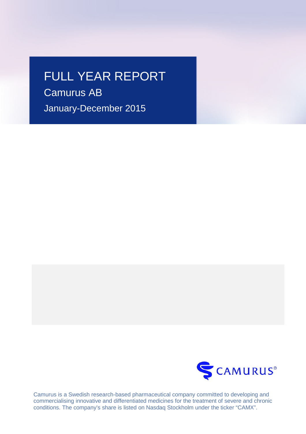# FULL YEAR REPORT

Camurus AB January-December 2015



Camurus is a Swedish research-based pharmaceutical company committed to developing and commercialising innovative and differentiated medicines for the treatment of severe and chronic conditions. The company's share is listed on Nasdaq Stockholm under the ticker "CAMX".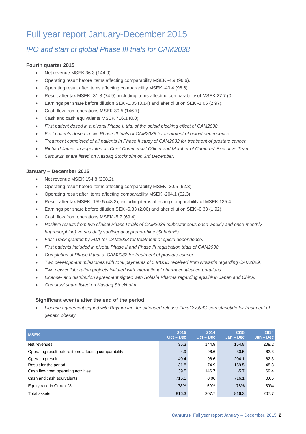## Full year report January-December 2015

## *IPO and start of global Phase III trials for CAM2038*

### **Fourth quarter 2015**

- Net revenue MSEK 36.3 (144.9).
- Operating result before items affecting comparability MSEK -4.9 (96.6).
- Operating result after items affecting comparability MSEK -40.4 (96.6).
- Result after tax MSEK -31.8 (74.9), including items affecting comparability of MSEK 27.7 (0).
- Earnings per share before dilution SEK -1.05 (3.14) and after dilution SEK -1.05 (2.97).
- Cash flow from operations MSEK 39.5 (146.7).
- Cash and cash equivalents MSEK 716.1 (0.0).
- *First patient dosed in a pivotal Phase II trial of the opioid blocking effect of CAM2038.*
- *First patients dosed in two Phase III trials of CAM2038 for treatment of opioid dependence.*
- *Treatment completed of all patients in Phase II study of CAM2032 for treatment of prostate cancer.*
- *Richard Jameson appointed as Chief Commercial Officer and Member of Camurus' Executive Team.*
- *Camurus' share listed on Nasdaq Stockholm on 3rd December.*

### **January – December 2015**

- Net revenue MSEK 154.8 (208.2).
- Operating result before items affecting comparability MSEK -30.5 (62.3).
- Operating result after items affecting comparability MSEK -204.1 (62.3).
- Result after tax MSEK -159.5 (48.3), including items affecting comparability of MSEK 135.4.
- Earnings per share before dilution SEK -6.33 (2.06) and after dilution SEK -6.33 (1.92).
- Cash flow from operations MSEK -5.7 (69.4).
- *Positive results from two clinical Phase I trials of CAM2038 (subcutaneous once-weekly and once-monthly buprenorphine) versus daily sublingual buprenorphine (Subutex®).*
- *Fast Track granted by FDA for CAM2038 for treatment of opioid dependence.*
- *First patients included in pivotal Phase II and Phase III registration trials of CAM2038.*
- *Completion of Phase II trial of CAM2032 for treatment of prostate cancer.*
- *Two development milestones with total payments of 5 MUSD received from Novartis regarding CAM2029.*
- *Two new collaboration projects initiated with international pharmaceutical corporations.*
- *License- and distribution agreement signed with Solasia Pharma regarding episil® in Japan and China.*
- *Camurus' share listed on Nasdaq Stockholm.*

## **Significant events after the end of the period**

• *License agreement signed with Rhythm Inc. for extended release FluidCrystal® setmelanotide for treatment of genetic obesity.*

| <b>MSEK</b>                                           | 2015<br>$Oct - Dec$ | 2014<br>$Oct - Dec$ | 2015<br>$Jan - Dec$ | 2014<br>$Jan - Dec$ |
|-------------------------------------------------------|---------------------|---------------------|---------------------|---------------------|
| Net revenues                                          | 36.3                | 144.9               | 154.8               | 208.2               |
| Operating result before items affecting comparability | $-4.9$              | 96.6                | $-30.5$             | 62.3                |
| Operating result                                      | $-40.4$             | 96.6                | $-204.1$            | 62.3                |
| Result for the period                                 | $-31.8$             | 74.9                | $-159.5$            | 48.3                |
| Cash flow from operating activities                   | 39.5                | 146.7               | $-5.7$              | 69.4                |
| Cash and cash equivalents                             | 716.1               | 0.06                | 716.1               | 0.06                |
| Equity ratio in Group, %                              | 78%                 | 59%                 | 78%                 | 59%                 |
| Total assets                                          | 816.3               | 207.7               | 816.3               | 207.7               |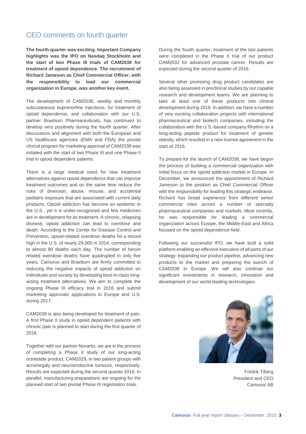## CEO comments on fourth quarter

**The fourth quarter was exciting. Important Company highlights was the IPO on Nasdaq Stockholm and the start of two Phase III trials of CAM2038 for treatment of opioid dependence. The recruitment of Richard Jameson as Chief Commercial Officer, with the responsibility to lead our commercial organization in Europe, was another key event.**

The development of CAM2038, weekly and monthly subcutaneous buprenorfine injections, for treatment of opioid dependence, and collaboration with our U.S. partner Braeburn Pharmaceuticals, has continued to develop very positively during the fourth quarter. After discussions and alignment with both the European and US healthcare agencies (EMA and FDA) the pivotal clinical program for marketing approval of CAM2038 was initiated with the start of two Phase III and one Phase II trial in opioid dependent patients.

There is a large medical need for new treatment alternatives against opioid dependence that can improve treatment outcomes and on the same time reduce the risks of diversion, abuse, misuse, and accidental pediatric exposure that are associated with current daily products. Opioid addiction has become an epidemic in the U.S., yet it is under-recognized and few medicines are in development for its treatment. A chronic, relapsing disease, opioid addiction can lead to overdose and death. According to the Center for Disease Control and Prevention, opioid-related overdose deaths hit a record high in the U.S. of nearly 29,000 in 2014, corresponding to almost 80 deaths each day. The number of heroin related overdose deaths have quadrupled in only five years. Camurus and Braeburn are firmly committed to reducing the negative impacts of opioid addiction on individuals and society by developing best-in-class longacting treatment alternatives. We aim to complete the ongoing Phase III efficacy trial in 2016 and submit marketing approvals applications in Europe and U.S. during 2017.

CAM2038 is also being developed for treatment of pain. A first Phase II study in opioid dependent patients with chronic pain is planned to start during the first quarter of 2016.

Together with our partner Novartis, we are in the process of completing a Phase II study of our long-acting octreotide product, CAM2029, in two patient groups with acromegaly and neuroendocrine tumours, respectively. Results are expected during the second quarter 2016. In parallel, manufacturing preparations are ongoing for the planned start of two pivotal Phase III registration trials.

During the fourth quarter, treatment of the last patients were completed in the Phase II trial of our product CAM2032 for advanced prostate cancer. Results are expected during the second quarter of 2016.

Several other promising drug product candidates are also being assessed in preclinical studies by our capable research and development teams. We are planning to take at least one of these products into clinical development during 2016. In addition, we have a number of very exciting collaboration projects with international pharmaceutical and biotech companies, including the collaboration with the U.S.-based company Rhythm on a long-acting peptide product for treatment of genetic obesity, which resulted in a new license agreement in the start of 2016.

To prepare for the launch of CAM2038, we have begun the process of building a commercial organization with initial focus on the opioid addiction market in Europe. In December, we announced the appointment of Richard Jameson to the position as Chief Commercial Officer with the responsibility for leading this strategic endeavor. Richard has broad experience from different senior commercial roles across a number of specialty pharmaceutical companies and markets. Most recently, he was responsible for leading a commercial organization across Europe, the Middle-East and Africa focused on the opioid dependence field.

Following our successful IPO, we have built a solid platform enabling an effective execution of all parts of our strategy: expanding our product pipeline, advancing new products to the market and preparing the launch of CAM2038 in Europe. We will also continue our significant investments in research, innovation and development of our world-leading technologies.



Fredrik Tiberg President and CEO Camurus AB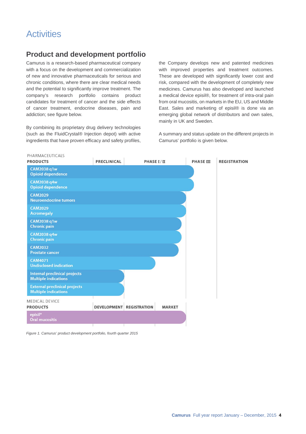## **Activities**

## **Product and development portfolio**

Camurus is a research-based pharmaceutical company with a focus on the development and commercialization of new and innovative pharmaceuticals for serious and chronic conditions, where there are clear medical needs and the potential to significantly improve treatment. The company's research portfolio contains product candidates for treatment of cancer and the side effects of cancer treatment, endocrine diseases, pain and addiction; see figure below.

By combining its proprietary drug delivery technologies (such as the FluidCrystal® Injection depot) with active ingredients that have proven efficacy and safety profiles,

the Company develops new and patented medicines with improved properties and treatment outcomes. These are developed with significantly lower cost and risk, compared with the development of completely new medicines. Camurus has also developed and launched a medical device episil®, for treatment of intra-oral pain from oral mucositis, on markets in the EU, US and Middle East. Sales and marketing of episil® is done via an emerging global network of distributors and own sales, mainly in UK and Sweden.

A summary and status update on the different projects in Camurus' portfolio is given below.



*Figure 1. Camurus' product development portfolio, fourth quarter 2015*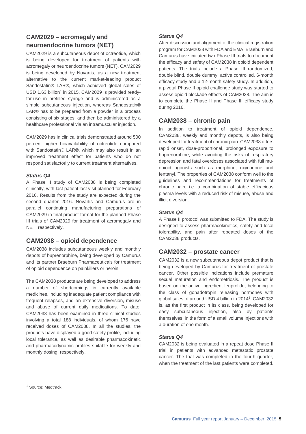## **CAM2029 – acromegaly and neuroendocrine tumors (NET)**

CAM2029 is a subcutaneous depot of octreotide, which is being developed for treatment of patients with acromegaly or neuroendocrine tumors (NET). CAM2029 is being developed by Novartis, as a new treatment alternative to the current market-leading product Sandostatin® LAR®, which achieved global sales of USD [1](#page-4-0).63 billion<sup>1</sup> in 2015. CAM2029 is provided readyfor-use in prefilled syringe and is administered as a simple subcutaneous injection, whereas Sandostatin® LAR® has to be prepared from a powder in a process consisting of six stages, and then be administered by a healthcare professional via an intramuscular injection.

CAM2029 has in clinical trials demonstrated around 500 percent higher bioavailability of octreotide compared with Sandostatin® LAR®, which may also result in an improved treatment effect for patients who do not respond satisfactorily to current treatment alternatives.

### *Status Q4*

A Phase II study of CAM2038 is being completed clinically, with last patient last visit planned for February 2016. Results from the study are expected during the second quarter 2016. Novartis and Camurus are in parallel continuing manufacturing preparations of CAM2029 in final product format for the planned Phase III trials of CAM2029 for treatment of acromegaly and NET, respectively.

## **CAM2038 – opioid dependence**

CAM2038 includes subcutaneous weekly and monthly depots of buprenorphine, being developed by Camurus and its partner Braeburn Pharmaceuticals for treatment of opioid dependence on painkillers or heroin.

The CAM2038 products are being developed to address a number of shortcomings in currently available medicines, including inadequate patient compliance with frequent relapses, and an extensive diversion, misuse and abuse of current daily medications. To date, CAM2038 has been examined in three clinical studies involving a total 188 individuals, of whom 176 have received doses of CAM2038. In all the studies, the products have displayed a good safety profile, including local tolerance, as well as desirable pharmacokinetic and pharmacodynamic profiles suitable for weekly and monthly dosing, respectively.

### *Status Q4*

After discussion and alignment of the clinical registration program for CAM2038 with FDA and EMA, Braeburn and Camurus have initiated two Phase III trials to document the efficacy and safety of CAM2038 in opioid dependent patients. The trials include a Phase III randomized, double blind, double dummy, active controlled, 6-month efficacy study and a 12-month safety study. In addition, a pivotal Phase II opioid challenge study was started to assess opioid blockade effects of CAM2038. The aim is to complete the Phase II and Phase III efficacy study during 2016.

## **CAM2038 – chronic pain**

In addition to treatment of opioid dependence, CAM2038, weekly and monthly depots, is also being developed for treatment of chronic pain. CAM2038 offers rapid onset, dose-proportional, prolonged exposure to buprenorphine, while avoiding the risks of respiratory depression and fatal overdoses associated with full muopioid agonists such as morphine, oxycodone and fentanyl. The properties of CAM2038 conform well to the guidelines and recommendations for treatments of chronic pain, i.e. a combination of stable efficacious plasma levels with a reduced risk of misuse, abuse and illicit diversion.

## *Status Q4*

A Phase II protocol was submitted to FDA. The study is designed to assess pharmacokinetics, safety and local tolerability, and pain after repeated doses of the CAM2038 products.

## **CAM2032 – prostate cancer**

CAM2032 is a new subcutaneous depot product that is being developed by Camurus for treatment of prostate cancer. Other possible indications include premature sexual maturation and endometriosis. The product is based on the active ingredient leuprolide, belonging to the class of gonadotropin releasing hormones with global sales of around USD 4 billion in 2014<sup>1</sup>. CAM2032 is, as the first product in its class, being developed for easy subcutaneous injection, also by patients themselves, in the form of a small volume injections with a duration of one month.

## *Status Q4*

CAM2032 is being evaluated in a repeat dose Phase II trial in patients with advanced metastatic prostate cancer. The trial was completed in the fourth quarter, when the treatment of the last patients were completed.

<span id="page-4-0"></span><sup>&</sup>lt;sup>1</sup> Source: Medtrack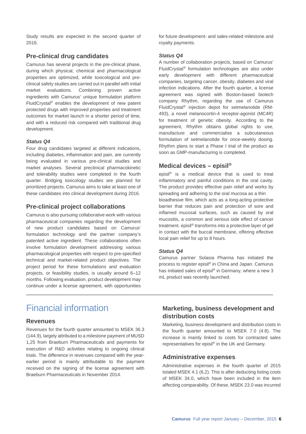Study results are expected in the second quarter of 2016.

## **Pre-clinical drug candidates**

Camurus has several projects in the pre-clinical phase, during which physical, chemical and pharmacological properties are optimized, while toxicological and preclinical safety studies are carried out in parallel with initial market evaluations. Combining proven active ingredients with Camurus' unique formulation platform FluidCrystal® enables the development of new patent protected drugs with improved properties and treatment outcomes for market launch in a shorter period of time, and with a reduced risk compared with traditional drug development.

### *Status Q4*

Four drug candidates targeted at different indications, including diabetes, inflammation and pain, are currently being evaluated in various pre-clinical studies and market analyses. Several preclinical pharmacokinetic and tolerability studies were completed in the fourth quarter. Bridging toxicology studies are planned for prioritized projects. Camurus aims to take at least one of these candidates into clinical development during 2016.

## **Pre-clinical project collaborations**

Camurus is also pursuing collaborative work with various pharmaceutical companies regarding the development of new product candidates based on Camurus' formulation technology and the partner company's patented active ingredient. These collaborations often involve formulation development addressing various pharmacological properties with respect to pre-specified technical and market-related product objectives. The project period for these formulations and evaluation projects, or feasibility studies, is usually around 6–12 months. Following evaluation, product development may continue under a license agreement, with opportunities for future development- and sales-related milestone and royalty payments.

### *Status Q4*

A number of collaboration projects, based on Camurus' FluidCrystal® formulation technologies are also under early development with different pharmaceutical companies, targeting cancer, obesity, diabetes and viral infection indications. After the fourth quarter, a license agreement was signed with Boston-based biotech company Rhythm, regarding the use of Camurus FluidCrystal® injection depot for setmelanotide (RM-493), a novel melanocortin-4 receptor-agonist (MC4R) for treatment of genetic obesity. According to the agreement, Rhythm obtains global rights to use, manufacture and commercialise a subcutaneous formulation of setmelanotide for once-weekly dosing. Rhythm plans to start a Phase I trial of the product as soon as GMP-manufacturing is completed.

## **Medical devices – episil®**

episil® is a medical device that is used to treat inflammatory and painful conditions in the oral cavity. The product provides effective pain relief and works by spreading and adhering to the oral mucosa as a thin bioadhesive film, which acts as a long-acting protective barrier that reduces pain and protection of sore and inflamed mucosal surfaces, such as caused by oral mucositis, a common and serious side effect of cancer treatment. episil® transforms into a protective layer of gel in contact with the buccal membrane, offering effective local pain relief for up to 8 hours.

### *Status Q4*

\_\_\_\_\_\_\_\_\_\_\_\_\_\_\_\_\_\_\_\_\_\_\_\_\_\_\_\_\_\_\_\_\_\_\_\_\_\_\_\_\_\_\_\_\_\_\_\_\_\_\_\_\_\_\_\_\_\_\_\_\_\_\_\_\_\_\_\_\_\_\_\_\_\_\_\_\_\_\_\_

Camurus partner Solasia Pharma has initiated the process to register episil® in China and Japan. Camurus has initiated sales of episil® in Germany, where a new 3 mL product was recently launched.

## Financial information

## **Revenues**

Revenues for the fourth quarter amounted to MSEK 36.3 (144.9), largely attributed to a milestone payment of MUSD 1,25 from Braeburn Pharmaceuticals and payments for execution of R&D activities relating to ongoing clinical trials. The difference in revenues compared with the yearearlier period is mainly attributable to the payment received on the signing of the license agreement with Braeburn Pharmaceuticals in November 2014.

## **Marketing, business development and distribution costs**

Marketing, business development and distribution costs in the fourth quarter amounted to MSEK 7.0 (4.8). The increase is mainly linked to costs for contracted sales representatives for episil® in the UK and Germany.

## **Administrative expenses**

Administrative expenses in the fourth quarter of 2015 totaled MSEK 4.1 (6,2). This is after deducting listing costs of MSEK 34.0, which have been included in the item affecting comparability. Of these, MSEK 23.0 was incurred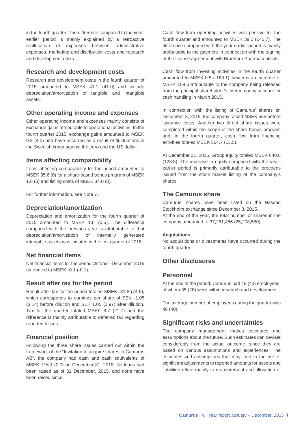in the fourth quarter. The difference compared to the yearearlier period is mainly explained by a retroactive reallocation of expenses between administrative expenses, marketing and distribution costs and research and development costs.

## **Research and development costs**

Research and development costs in the fourth quarter of 2015 amounted to MSEK 41.1 (41.0) and include depreciation/amortization of tangible and intangible assets.

## **Other operating income and expenses**

Other operating income and expenses mainly consists of exchange gains attributable to operational activities. In the fourth quarter 2015, exchange gains amounted to MSEK 0.3 (4.0) and have occurred as a result of fluctuations in the Swedish krona against the euro and the US dollar.

## **Items affecting comparability**

Items affecting comparability for the period amounted to MSEK 35.6 (0) for a share-based bonus program of MSEK 1.6 (0) and listing costs of MSEK 34.0 (0).

For further information, see Note 7.

## **Depreciation/amortization**

Depreciation and amortization for the fourth quarter of 2015 amounted to MSEK 1.0 (0.5). The difference compared with the previous year is attributable to that depreciation/amortization of internally generated intangible assets was initiated in the first quarter of 2015.

## **Net financial items**

Net financial items for the period October–December 2015 amounted to MSEK -0.1 (-0.1).

## **Result after tax for the period**

Result after tax for the period totaled MSEK -31.8 (74.9), which corresponds to earnings per share of SEK -1.05 (3.14) before dilution and SEK 1.05 (2.97) after dilution. Tax for the quarter totaled MSEK 8.7 (21.7) and the difference is mainly attributable to deferred tax regarding reported losses.

## **Financial position**

Following the three share issues carried out within the framework of the "Invitation to acquire shares in Camurus AB", the company had cash and cash equivalents of MSEK 716.1 (0.0) on December 31, 2015. No loans had been raised as of 31 December, 2015, and none have been raised since.

Cash flow from operating activities was positive for the fourth quarter and amounted to MSEK 39.5 (146.7). The difference compared with the year-earlier period is mainly attributable to the payment in connection with the signing of the license agreement with Braeburn Pharmaceuticals.

Cash flow from investing activities in the fourth quarter amounted to MSEK 0.5 (-160.1), which is an increase of MSEK 159.6 attributable to the company being released from the principal shareholder's intercompany account for cash handling in March 2015.

In connection with the listing of Camurus' shares on December 3, 2015, the company raised MSEK 555 before issuance costs. Another two direct share issues were completed within the scope of the share bonus program and, in the fourth quarter, cash flow from financing activities totaled MSEK 564.7 (13.5).

At December 31, 2015, Group equity totaled MSEK 640.6 (123.5). The increase in equity compared with the yearearlier period is primarily attributable to the proceeds issued from the stock market listing of the company's shares.

## **The Camurus share**

Camurus' shares have been listed on the Nasdaq Stockholm exchange since December 3, 2015. At the end of the year, the total number of shares in the company amounted to 37,281,486 (25,208,560).

### **Acquisitions**

No acquisitions or divestments have occurred during the fourth quarter.

## **Other disclosures**

## **Personnel**

At the end of the period, Camurus had 48 (43) employees, of whom 35 (28) were within research and development.

The average number of employees during the quarter was 48 (40).

## **Significant risks and uncertainties**

The company management makes estimates and assumptions about the future. Such estimates can deviate considerably from the actual outcome, since they are based on various assumptions and experiences. The estimates and assumptions that may lead to the risk of significant adjustments to reported amounts for assets and liabilities relate mainly to measurement and allocation of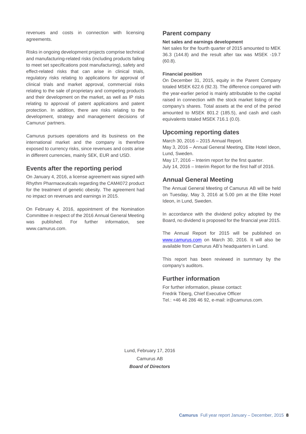revenues and costs in connection with licensing agreements.

Risks in ongoing development projects comprise technical and manufacturing-related risks (including products failing to meet set specifications post manufacturing), safety and effect-related risks that can arise in clinical trials, regulatory risks relating to applications for approval of clinical trials and market approval, commercial risks relating to the sale of proprietary and competing products and their development on the market, as well as IP risks relating to approval of patent applications and patent protection. In addition, there are risks relating to the development, strategy and management decisions of Camurus' partners.

Camurus pursues operations and its business on the international market and the company is therefore exposed to currency risks, since revenues and costs arise in different currencies, mainly SEK, EUR and USD.

## **Events after the reporting period**

On January 4, 2016, a license agreement was signed with Rhythm Pharmaceuticals regarding the CAM4072 product for the treatment of genetic obesity. The agreement had no impact on revenues and earnings in 2015.

On February 4, 2016, appointment of the Nomination Committee in respect of the 2016 Annual General Meeting was published. For further information, see www.camurus.com.

## **Parent company**

#### **Net sales and earnings development**

Net sales for the fourth quarter of 2015 amounted to MEK 36.3 (144.8) and the result after tax was MSEK -19.7 (60.8).

#### **Financial position**

On December 31, 2015, equity in the Parent Company totaled MSEK 622.6 (92.3). The difference compared with the year-earlier period is mainly attributable to the capital raised in connection with the stock market listing of the company's shares. Total assets at the end of the period amounted to MSEK 801.2 (185.5), and cash and cash equivalents totaled MSEK 716.1 (0.0).

## **Upcoming reporting dates**

March 30, 2016 – 2015 Annual Report. May 3, 2016 – Annual General Meeting, Elite Hotel Ideon, Lund, Sweden. May 17, 2016 – Interim report for the first quarter. July 14, 2016 – Interim Report for the first half of 2016.

## **Annual General Meeting**

The Annual General Meeting of Camurus AB will be held on Tuesday, May 3, 2016 at 5.00 pm at the Elite Hotel Ideon, in Lund, Sweden.

In accordance with the dividend policy adopted by the Board, no dividend is proposed for the financial year 2015.

The Annual Report for 2015 will be published on [www.camurus.com](http://www.camurus.com/) on March 30, 2016. It will also be available from Camurus AB's headquarters in Lund.

This report has been reviewed in summary by the company's auditors.

## **Further information**

For further information, please contact: Fredrik Tiberg, Chief Executive Officer Tel.: +46 46 286 46 92, e-mail: ir@camurus.com.

Lund, February 17, 2016 Camurus AB *Board of Directors*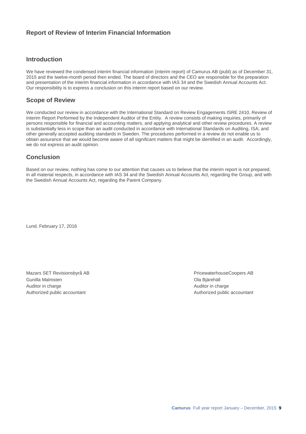## **Report of Review of Interim Financial Information**

## **Introduction**

We have reviewed the condensed interim financial information (interim report) of Camurus AB (publ) as of December 31, 2015 and the twelve-month period then ended. The board of directors and the CEO are responsible for the preparation and presentation of the interim financial information in accordance with IAS 34 and the Swedish Annual Accounts Act. Our responsibility is to express a conclusion on this interim report based on our review.

## **Scope of Review**

We conducted our review in accordance with the International Standard on Review Engagements ISRE 2410, Review of Interim Report Performed by the Independent Auditor of the Entity. A review consists of making inquiries, primarily of persons responsible for financial and accounting matters, and applying analytical and other review procedures. A review is substantially less in scope than an audit conducted in accordance with International Standards on Auditing, ISA, and other generally accepted auditing standards in Sweden. The procedures performed in a review do not enable us to obtain assurance that we would become aware of all significant matters that might be identified in an audit. Accordingly, we do not express an audit opinion.

## **Conclusion**

Based on our review, nothing has come to our attention that causes us to believe that the interim report is not prepared, in all material respects, in accordance with IAS 34 and the Swedish Annual Accounts Act, regarding the Group, and with the Swedish Annual Accounts Act, regarding the Parent Company.

Lund, February 17, 2016

Mazars SET Revisionsbyrå AB PricewaterhouseCoopers AB Gunilla Malmsten Ola Bjärehäll Auditor in charge Auditor in charge Auditor in charge Auditor in charge Auditor in charge Authorized public accountant and accountant and a set of the Authorized public accountant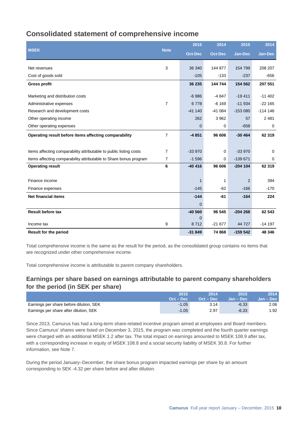## **Consolidated statement of comprehensive income**

|                                                                    |                | 2015           | 2014           | 2015           | 2014      |
|--------------------------------------------------------------------|----------------|----------------|----------------|----------------|-----------|
| <b>MSEK</b>                                                        | <b>Note</b>    | <b>Oct-Dec</b> | <b>Oct-Dec</b> | <b>Jan-Dec</b> | Jan-Dec   |
| Net revenues                                                       | 3              | 36 340         | 144 877        | 154 799        | 208 207   |
| Cost of goods sold                                                 |                | $-105$         | $-133$         | $-237$         | -656      |
|                                                                    |                |                |                |                |           |
| <b>Gross profit</b>                                                |                | 36 235         | 144 744        | 154 562        | 207 551   |
| Marketing and distribution costs                                   |                | $-6986$        | $-4847$        | $-19411$       | $-11402$  |
| Administrative expenses                                            | $\overline{7}$ | 6778           | $-6169$        | $-11934$       | $-22165$  |
| Research and development costs                                     |                | $-41140$       | $-41084$       | $-153080$      | $-114146$ |
| Other operating income                                             |                | 262            | 3 9 6 2        | 57             | 2 4 8 1   |
| Other operating expenses                                           |                | $\mathbf 0$    | 0              | $-658$         | 0         |
| Operating result before items affecting comparability              | $\overline{7}$ | $-4851$        | 96 606         | $-30464$       | 62 319    |
|                                                                    |                |                |                |                |           |
| Items affecting comparability attributable to public listing costs | 7              | $-33970$       | $\mathbf 0$    | $-33970$       | $\Omega$  |
| Items affecting comparability attributable to Share bonus program  | 7              | $-1596$        | $\mathbf 0$    | $-139671$      | 0         |
| <b>Operating result</b>                                            | 6              | $-40416$       | 96 606         | $-204$ 104     | 62 319    |
|                                                                    |                |                |                |                |           |
| Finance income                                                     |                | 1              | 1              | $\overline{2}$ | 394       |
| Finance expenses                                                   |                | $-145$         | $-62$          | $-166$         | $-170$    |
| <b>Net financial items</b>                                         |                | $-144$         | $-61$          | $-164$         | 224       |
|                                                                    |                | $\mathbf{0}$   |                |                |           |
| <b>Result before tax</b>                                           |                | $-40560$       | 96 545         | $-204268$      | 62 543    |
|                                                                    |                | $\overline{0}$ |                |                |           |
| Income tax                                                         | 9              | 8712           | $-21677$       | 44 727         | $-14197$  |
| <b>Result for the period</b>                                       |                | $-31849$       | 74 868         | $-159542$      | 48 346    |

Total comprehensive income is the same as the result for the period, as the consolidated group contains no items that are recognized under other comprehensive income.

Total comprehensive income is attributable to parent company shareholders.

## **Earnings per share based on earnings attributable to parent company shareholders for the period (in SEK per share)**

|                                         | 2015        | 2014               | 2015               | 2014        |
|-----------------------------------------|-------------|--------------------|--------------------|-------------|
|                                         | $Oct - Dec$ | <b>Oct – Dec</b> ' | <b>Jan – Dec</b> ' | $Jan - Dec$ |
| Earnings per share before dilution, SEK | $-1.05$     | 3.14               | $-6.33$            | 2.06        |
| Earnings per share after dilution, SEK  | $-1.05$     | 2.97               | $-6.33$            | 1.92        |

Since 2013, Camurus has had a long-term share-related incentive program aimed at employees and Board members. Since Camurus' shares were listed on December 3, 2015, the program was completed and the fourth quarter earnings were charged with an additional MSEK 1.2 after tax. The total impact on earnings amounted to MSEK 108.9 after tax, with a corresponding increase in equity of MSEK 108.8 and a social security liability of MSEK 30.8. For further information, see Note 7.

During the period January–December, the share bonus program impacted earnings per share by an amount corresponding to SEK -4.32 per share before and after dilution.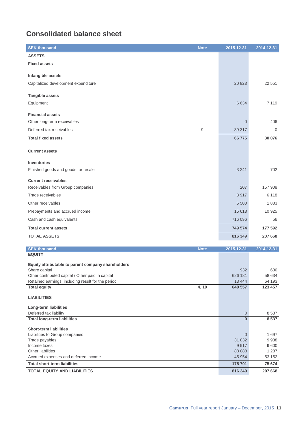## **Consolidated balance sheet**

| <b>SEK thousand</b><br><b>Note</b>                                 | 2015-12-31       | 2014-12-31      |
|--------------------------------------------------------------------|------------------|-----------------|
| <b>ASSETS</b>                                                      |                  |                 |
| <b>Fixed assets</b>                                                |                  |                 |
|                                                                    |                  |                 |
| Intangible assets                                                  |                  |                 |
| Capitalized development expenditure                                | 20 823           | 22 551          |
| <b>Tangible assets</b>                                             |                  |                 |
| Equipment                                                          | 6 6 3 4          | 7 1 1 9         |
|                                                                    |                  |                 |
| <b>Financial assets</b>                                            |                  |                 |
| Other long-term receivables                                        | $\overline{0}$   | 406             |
| Deferred tax receivables<br>9                                      | 39 317           | $\mathbf{0}$    |
| <b>Total fixed assets</b>                                          | 66775            | 30 076          |
|                                                                    |                  |                 |
| <b>Current assets</b>                                              |                  |                 |
| <b>Inventories</b>                                                 |                  |                 |
| Finished goods and goods for resale                                | 3 2 4 1          | 702             |
|                                                                    |                  |                 |
| <b>Current receivables</b>                                         |                  |                 |
| Receivables from Group companies                                   | 207              | 157 908         |
| Trade receivables                                                  | 8917             | 6 1 1 8         |
| Other receivables                                                  | 5 500            | 1883            |
| Prepayments and accrued income                                     | 15 613           | 10 925          |
| Cash and cash equivalents                                          | 716 096          | 56              |
| <b>Total current assets</b>                                        | 749 574          | 177 592         |
| <b>TOTAL ASSETS</b>                                                | 816 349          | 207 668         |
|                                                                    |                  |                 |
| <b>SEK thousand</b><br><b>Note</b><br><b>EQUITY</b>                | 2015-12-31       | 2014-12-31      |
|                                                                    |                  |                 |
| Equity attributable to parent company shareholders                 |                  |                 |
| Share capital<br>Other contributed capital / Other paid in capital | 932<br>626 181   | 630<br>58 634   |
| Retained earnings, including result for the period                 | 13 4 44          | 64 193          |
| <b>Total equity</b><br>4, 10                                       | 640 557          | 123 457         |
| <b>LIABILITIES</b>                                                 |                  |                 |
| Long-term liabilities                                              |                  |                 |
| Deferred tax liability                                             | 0                | 8537            |
| <b>Total long-term liabilities</b>                                 | $\mathbf{0}$     | 8537            |
| <b>Short-term liabilities</b>                                      |                  |                 |
| Liabilities to Group companies                                     | $\boldsymbol{0}$ | 1697            |
| Trade payables                                                     | 31 832           | 9938            |
| Income taxes<br>Other liabilities                                  | 9917<br>88 0 88  | 9600<br>1 2 8 7 |
| Accrued expenses and deferred income                               | 45 954           | 53 152          |

**TOTAL EQUITY AND LIABILITIES 816 349 207 668**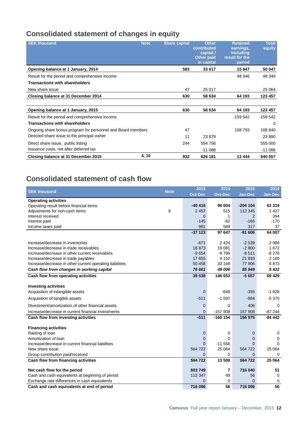## **Consolidated statement of changes in equity**

| <b>SEK thousand</b>                                         | <b>Note</b> | <b>Share capital</b> | <b>Other</b><br>contributed<br>capital /<br><b>Other paid</b><br>in capital | <b>Retained</b><br>earnings,<br>including<br>result for the<br>period | <b>Total</b><br>equity |
|-------------------------------------------------------------|-------------|----------------------|-----------------------------------------------------------------------------|-----------------------------------------------------------------------|------------------------|
| Opening balance at 1 January, 2014                          |             | 583                  | 33 617                                                                      | 15847                                                                 | 50 047                 |
| Result for the period and comprehensive income              |             |                      |                                                                             | 48 346                                                                | 48 346                 |
| <b>Transactions with shareholders</b>                       |             |                      |                                                                             |                                                                       |                        |
| New share issue                                             |             | 47                   | 25 017                                                                      |                                                                       | 25 064                 |
| Closing balance at 31 December 2014                         |             | 630                  | 58 634                                                                      | 64 193                                                                | 123 457                |
|                                                             |             |                      |                                                                             |                                                                       |                        |
| Opening balance at 1 January, 2015                          |             | 630                  | 58 634                                                                      | 64 193                                                                | 123 457                |
| Result for the period and comprehensive income              |             |                      |                                                                             | $-159542$                                                             | $-159542$              |
| <b>Transactions with shareholders</b>                       |             |                      |                                                                             |                                                                       | 0                      |
| Ongoing share bonus program for personnel and Board members |             | 47                   |                                                                             | 108 793                                                               | 108 840                |
| Directed share issue to the principal owner                 |             | 11                   | 23879                                                                       |                                                                       | 23 890                 |
| Direct share issue, public listing                          |             | 244                  | 554 756                                                                     |                                                                       | 555 000                |
| Issuance costs, net after deferred tax                      |             |                      | $-11088$                                                                    |                                                                       | $-11088$               |
| Closing balance at 31 December 2015                         | 4, 10       | 932                  | 626 181                                                                     | 13 444                                                                | 640 557                |

## **Consolidated statement of cash flow**

| <b>SEK thousand</b>                                      | <b>Note</b> | 2015           | 2014           | 2015           | 2014        |
|----------------------------------------------------------|-------------|----------------|----------------|----------------|-------------|
|                                                          |             | <b>Oct-Dec</b> | <b>Oct-Dec</b> | <b>Jan-Dec</b> | Jan-Dec     |
| <b>Operating activities</b>                              |             |                |                |                |             |
| Operating result before financial items                  |             | $-40416$       | 96 604         | $-204$ 104     | 62 319      |
| Adjustments for non-cash items                           | 8           | 2 4 5 7        | 515            | 112 345        | 1 4 2 7     |
| Interest received                                        |             | $\mathbf{0}$   | 1              | 2              | 394         |
| Interest paid                                            |             | $-145$         | $-62$          | $-166$         | $-170$      |
| Income taxes paid                                        |             | 981            | 589            | 317            | 37          |
|                                                          |             | $-37123$       | 97 647         | $-91606$       | 64 007      |
| Increase/decrease in inventories                         |             | $-671$         | 2 4 2 4        | $-2539$        | 2986        |
| Increase/decrease in trade receivables                   |             | 18873          | 19 081         | $-2800$        | 1672        |
| Increase/decrease in other current receivables           |             | $-9654$        | $-9799$        | $-8511$        | $-8278$     |
| Increase/decrease in trade payables                      |             | 17 655         | 4 1 5 2        | 21893          | 2 1 6 9     |
| Increase/decrease in other current operating liabilities |             | 50 458         | 33 148         | 77 906         | 6873        |
| Cash flow from changes in working capital                |             | 76 661         | 49 006         | 85 949         | 5 4 2 2     |
| Cash flow from operating activities                      |             | 39 538         | 146 653        | $-5657$        | 69 4 29     |
|                                                          |             |                |                |                |             |
| <b>Investing activities</b>                              |             |                |                |                | $-1828$     |
| Acquisition of intangible assets                         |             | $\mathbf{0}$   | $-649$         | $-355$         |             |
| Acquisition of tangible assets                           |             | $-511$         | $-1597$        | $-984$         | $-5370$     |
| Divestment/amortization of other financial assets        |             | $\overline{0}$ | 0              | 406            | $\Omega$    |
| Increase/decrease in current financial investments       |             | $\overline{0}$ | $-157908$      | 157 908        | $-87244$    |
| Cash flow from investing activities                      |             | $-511$         | $-160$ 154     | 156 975        | $-94442$    |
| <b>Financing activities</b>                              |             |                |                |                |             |
| Raising of loan                                          |             | $\mathbf 0$    | 0              | $\mathbf 0$    | 0           |
| Amortization of Ioan                                     |             | 0              | $\Omega$       | 0              | 0           |
| Increase/decrease in current financial liabilities       |             | $\mathbf{0}$   | $-11556$       | $\mathbf{0}$   | $\Omega$    |
| New share issue                                          |             | 564 722        | 25 064         | 564 722        | 25 064      |
| Group contribution paid/received                         |             | 0              | 0              | 0              | 0           |
| Cash flow from financing activities                      |             | 564 722        | 13 508         | 564 722        | 25 064      |
| Net cash flow for the period                             |             | 603 749        | $\overline{ }$ | 716 040        | 51          |
| Cash and cash equivalents at beginning of period         |             | 112 347        | 49             | 56             | 5           |
| Exchange rate differences in cash equivalents            |             | $\Omega$       | 0              | $\Omega$       | $\mathbf 0$ |
| Cash and cash equivalents at end of period               |             | 716 096        | 56             | 716 096        | 56          |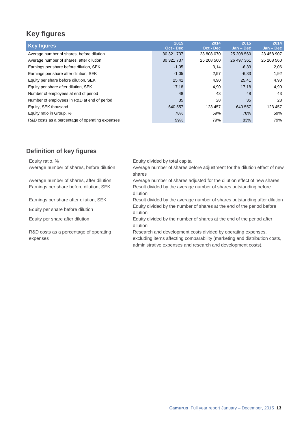## **Key figures**

| <b>Key figures</b>                              | 2015<br>Oct - Dec | 2014<br>Oct - Dec | 2015<br>$Jan - Dec$ | 2014<br>$Jan - Dec$ |
|-------------------------------------------------|-------------------|-------------------|---------------------|---------------------|
| Average number of shares, before dilution       | 30 321 737        | 23 808 070        | 25 208 560          | 23 458 907          |
| Average number of shares, after dilution        | 30 321 737        | 25 208 560        | 26 497 361          | 25 208 560          |
| Earnings per share before dilution, SEK         | $-1,05$           | 3,14              | $-6,33$             | 2,06                |
| Earnings per share after dilution, SEK          | $-1,05$           | 2,97              | $-6,33$             | 1,92                |
| Equity per share before dilution, SEK           | 25,41             | 4,90              | 25,41               | 4,90                |
| Equity per share after dilution, SEK            | 17,18             | 4,90              | 17,18               | 4,90                |
| Number of employees at end of period            | 48                | 43                | 48                  | 43                  |
| Number of employees in R&D at end of period     | 35                | 28                | 35                  | 28                  |
| Equity, SEK thousand                            | 640 557           | 123 457           | 640 557             | 123 457             |
| Equity ratio in Group, %                        | 78%               | 59%               | 78%                 | 59%                 |
| R&D costs as a percentage of operating expenses | 99%               | 79%               | 83%                 | 79%                 |

## **Definition of key figures**

| Equity ratio, %                           | Equity divided by total capital                                                                                                            |
|-------------------------------------------|--------------------------------------------------------------------------------------------------------------------------------------------|
| Average number of shares, before dilution | Average number of shares before adjustment for the dilution effect of new<br>shares                                                        |
| Average number of shares, after dilution  | Average number of shares adjusted for the dilution effect of new shares                                                                    |
| Earnings per share before dilution, SEK   | Result divided by the average number of shares outstanding before<br>dilution                                                              |
| Earnings per share after dilution, SEK    | Result divided by the average number of shares outstanding after dilution                                                                  |
| Equity per share before dilution          | Equity divided by the number of shares at the end of the period before<br>dilution                                                         |
| Equity per share after dilution           | Equity divided by the number of shares at the end of the period after<br>dilution                                                          |
| R&D costs as a percentage of operating    | Research and development costs divided by operating expenses,                                                                              |
| expenses                                  | excluding items affecting comparability (marketing and distribution costs,<br>administrative expenses and research and development costs). |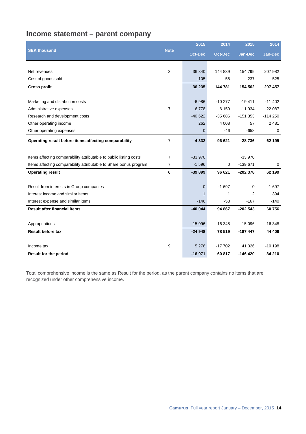## **Income statement – parent company**

|                                                                    |                | 2015           | 2014           | 2015           | 2014           |
|--------------------------------------------------------------------|----------------|----------------|----------------|----------------|----------------|
| <b>SEK thousand</b>                                                | <b>Note</b>    | <b>Oct-Dec</b> | <b>Oct-Dec</b> | <b>Jan-Dec</b> | <b>Jan-Dec</b> |
|                                                                    |                |                |                |                |                |
| Net revenues                                                       | 3              | 36 340         | 144 839        | 154 799        | 207 982        |
| Cost of goods sold                                                 |                | $-105$         | $-58$          | $-237$         | $-525$         |
| <b>Gross profit</b>                                                |                | 36 235         | 144 781        | 154 562        | 207 457        |
|                                                                    |                |                |                |                |                |
| Marketing and distribution costs                                   |                | $-6986$        | $-10277$       | $-19411$       | $-11402$       |
| Administrative expenses                                            | $\overline{7}$ | 6778           | $-6159$        | $-11934$       | $-22087$       |
| Research and development costs                                     |                | $-40622$       | $-3566$        | $-151353$      | $-114250$      |
| Other operating income                                             |                | 262            | 4 0 0 8        | 57             | 2 4 8 1        |
| Other operating expenses                                           |                | 0              | $-46$          | $-658$         | 0              |
| Operating result before items affecting comparability              | $\overline{7}$ | $-4332$        | 96 621         | $-28736$       | 62 199         |
|                                                                    |                |                |                |                |                |
| Items affecting comparability attributable to public listing costs | $\overline{7}$ | $-33970$       |                | $-33970$       |                |
| Items affecting comparability attributable to Share bonus program  | 7              | $-1596$        | 0              | $-139671$      | 0              |
| <b>Operating result</b>                                            | 6              | $-39899$       | 96 621         | -202 378       | 62 199         |
| Result from interests in Group companies                           |                | $\mathbf 0$    | $-1697$        | 0              | $-1697$        |
| Interest income and similar items                                  |                | $\mathbf{1}$   | 1              | 2              | 394            |
| Interest expense and similar items                                 |                | $-146$         | -58            | $-167$         | $-140$         |
| <b>Result after financial items</b>                                |                | $-40044$       | 94 867         | $-202543$      | 60756          |
|                                                                    |                |                |                |                |                |
| Appropriations                                                     |                | 15 0 96        | $-16348$       | 15 0 96        | $-16348$       |
| <b>Result before tax</b>                                           |                | $-24948$       | 78 519         | $-187447$      | 44 408         |
|                                                                    |                |                |                |                |                |
| Income tax                                                         | 9              | 5 2 7 6        | $-17702$       | 41 026         | $-10198$       |
| <b>Result for the period</b>                                       |                | $-16971$       | 60 817         | -146 420       | 34 210         |

Total comprehensive income is the same as Result for the period, as the parent company contains no items that are recognized under other comprehensive income.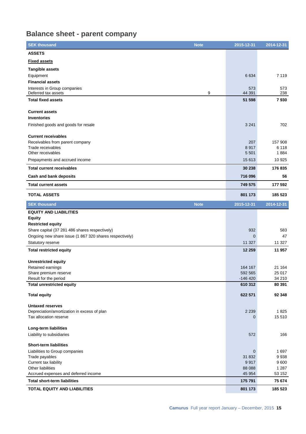## **Balance sheet - parent company**

| <b>SEK thousand</b>                                     | <b>Note</b> | 2015-12-31      | 2014-12-31      |
|---------------------------------------------------------|-------------|-----------------|-----------------|
| <b>ASSETS</b>                                           |             |                 |                 |
| <b>Fixed assets</b>                                     |             |                 |                 |
| <b>Tangible assets</b>                                  |             |                 |                 |
| Equipment                                               |             | 6634            | 7 1 1 9         |
| <b>Financial assets</b>                                 |             |                 |                 |
| Interests in Group companies                            |             | 573             | 573             |
| Deferred tax assets                                     | 9           | 44 391          | 238             |
| <b>Total fixed assets</b>                               |             | 51 598          | 7930            |
| <b>Current assets</b>                                   |             |                 |                 |
| <b>Inventories</b>                                      |             |                 |                 |
| Finished goods and goods for resale                     |             | 3 2 4 1         | 702             |
|                                                         |             |                 |                 |
| <b>Current receivables</b>                              |             |                 |                 |
| Receivables from parent company                         |             | 207             | 157 908         |
| Trade receivables                                       |             | 8917            | 6 1 1 8         |
| Other receivables                                       |             | 5 5 0 1         | 1884            |
| Prepayments and accrued income                          |             | 15 613          | 10 925          |
| <b>Total current receivables</b>                        |             | 30 238          | 176 835         |
| <b>Cash and bank deposits</b>                           |             | 716 096         | 56              |
| <b>Total current assets</b>                             |             | 749 575         | 177 592         |
| <b>TOTAL ASSETS</b>                                     |             | 801 173         | 185 523         |
| <b>SEK thousand</b>                                     | <b>Note</b> | 2015-12-31      | 2014-12-31      |
| <b>EQUITY AND LIABILITIES</b>                           |             |                 |                 |
| <b>Equity</b>                                           |             |                 |                 |
| <b>Restricted equity</b>                                |             |                 |                 |
| Share capital (37 281 486 shares respectively)          |             | 932             | 583             |
| Ongoing new share issue (1 867 320 shares respectively) |             | $\mathbf 0$     | 47              |
| Statutory reserve                                       |             | 11 327          | 11 327          |
| <b>Total restricted equity</b>                          |             | 12 259          | 11 957          |
| <b>Unrestricted equity</b>                              |             |                 |                 |
| Retained earnings                                       |             | 164 167         | 21 164          |
| Share premium reserve                                   |             | 592 565         | 25 017          |
| Result for the period                                   |             | $-146420$       | 34 210          |
| <b>Total unrestricted equity</b>                        |             | 610 312         | 80 391          |
| <b>Total equity</b>                                     |             | 622 571         | 92 348          |
|                                                         |             |                 |                 |
| <b>Untaxed reserves</b>                                 |             |                 |                 |
| Depreciation/amortization in excess of plan             |             | 2 2 3 9         | 1825            |
| Tax allocation reserve                                  |             | 0               | 15 510          |
| Long-term liabilities                                   |             |                 |                 |
| Liability to subsidiaries                               |             | 572             | 166             |
|                                                         |             |                 |                 |
| <b>Short-term liabilities</b>                           |             |                 |                 |
| Liabilities to Group companies                          |             | $\mathbf 0$     | 1 697           |
| Trade payables                                          |             | 31 832          | 9938            |
| Current tax liability<br>Other liabilities              |             | 9917<br>88 0 88 | 9600<br>1 2 8 7 |
| Accrued expenses and deferred income                    |             | 45 954          | 53 152          |
| <b>Total short-term liabilities</b>                     |             | 175 791         | 75 674          |
| TOTAL EQUITY AND LIABILITIES                            |             | 801 173         | 185 523         |
|                                                         |             |                 |                 |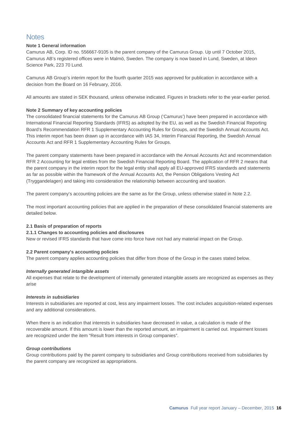## **Notes**

### **Note 1 General information**

Camurus AB, Corp. ID no. 556667-9105 is the parent company of the Camurus Group. Up until 7 October 2015, Camurus AB's registered offices were in Malmö, Sweden. The company is now based in Lund, Sweden, at Ideon Science Park, 223 70 Lund.

Camurus AB Group's interim report for the fourth quarter 2015 was approved for publication in accordance with a decision from the Board on 16 February, 2016.

All amounts are stated in SEK thousand, unless otherwise indicated. Figures in brackets refer to the year-earlier period.

### **Note 2 Summary of key accounting policies**

The consolidated financial statements for the Camurus AB Group ('Camurus') have been prepared in accordance with International Financial Reporting Standards (IFRS) as adopted by the EU, as well as the Swedish Financial Reporting Board's Recommendation RFR 1 Supplementary Accounting Rules for Groups, and the Swedish Annual Accounts Act. This interim report has been drawn up in accordance with IAS 34, Interim Financial Reporting, the Swedish Annual Accounts Act and RFR 1 Supplementary Accounting Rules for Groups.

The parent company statements have been prepared in accordance with the Annual Accounts Act and recommendation RFR 2 Accounting for legal entities from the Swedish Financial Reporting Board. The application of RFR 2 means that the parent company in the interim report for the legal entity shall apply all EU-approved IFRS standards and statements as far as possible within the framework of the Annual Accounts Act, the Pension Obligations Vesting Act (Tryggandelagen) and taking into consideration the relationship between accounting and taxation.

The parent company's accounting policies are the same as for the Group, unless otherwise stated in Note 2.2.

The most important accounting policies that are applied in the preparation of these consolidated financial statements are detailed below.

### **2.1 Basis of preparation of reports**

### **2.1.1 Changes to accounting policies and disclosures**

New or revised IFRS standards that have come into force have not had any material impact on the Group.

### **2.2 Parent company's accounting policies**

The parent company applies accounting policies that differ from those of the Group in the cases stated below.

### *Internally generated intangible assets*

All expenses that relate to the development of internally generated intangible assets are recognized as expenses as they arise

### *Interests in subsidiaries*

Interests in subsidiaries are reported at cost, less any impairment losses. The cost includes acquisition-related expenses and any additional considerations.

When there is an indication that interests in subsidiaries have decreased in value, a calculation is made of the recoverable amount. If this amount is lower than the reported amount, an impairment is carried out. Impairment losses are recognized under the item "Result from interests in Group companies".

### *Group contributions*

Group contributions paid by the parent company to subsidiaries and Group contributions received from subsidiaries by the parent company are recognized as appropriations.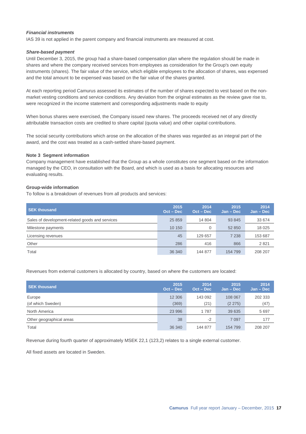### *Financial instruments*

IAS 39 is not applied in the parent company and financial instruments are measured at cost.

#### *Share-based payment*

Until December 3, 2015, the group had a share-based compensation plan where the regulation should be made in shares and where the company received services from employees as consideration for the Group's own equity instruments (shares). The fair value of the service, which eligible employees to the allocation of shares, was expensed and the total amount to be expensed was based on the fair value of the shares granted.

At each reporting period Camurus assessed its estimates of the number of shares expected to vest based on the nonmarket vesting conditions and service conditions. Any deviation from the original estimates as the review gave rise to, were recognized in the income statement and corresponding adjustments made to equity

When bonus shares were exercised, the Company issued new shares. The proceeds received net of any directly attributable transaction costs are credited to share capital (quota value) and other capital contributions.

The social security contributions which arose on the allocation of the shares was regarded as an integral part of the award, and the cost was treated as a cash-settled share-based payment.

#### **Note 3 Segment information**

Company management have established that the Group as a whole constitutes one segment based on the information managed by the CEO, in consultation with the Board, and which is used as a basis for allocating resources and evaluating results.

#### **Group-wide information**

To follow is a breakdown of revenues from all products and services:

| <b>SEK thousand</b>                             | 2015<br>$Oct - Dec$ | 2014<br>$Oct - Dec$ | 2015<br>$Jan - Dec$ | 2014<br>$Jan - Dec$ |
|-------------------------------------------------|---------------------|---------------------|---------------------|---------------------|
| Sales of development-related goods and services | 25 859              | 14 804              | 93 845              | 33 674              |
| Milestone payments                              | 10 150              | 0                   | 52 850              | 18 0 25             |
| Licensing revenues                              | 45                  | 129 657             | 7 2 3 8             | 153 687             |
| Other                                           | 286                 | 416                 | 866                 | 2821                |
| Total                                           | 36 340              | 144 877             | 154 799             | 208 207             |

Revenues from external customers is allocated by country, based on where the customers are located:

| <b>SEK thousand</b>      | 2015<br>$Oct - Dec$ | 2014<br>$Oct - Dec$ | 2015<br>$Jan - Dec$ | 2014<br>$Jan - Dec$ |
|--------------------------|---------------------|---------------------|---------------------|---------------------|
| Europe                   | 12 30 6             | 143 092             | 108 067             | 202 333             |
| (of which Sweden)        | (369)               | (21)                | (2 275)             | (47)                |
| North America            | 23 996              | 1787                | 39 635              | 5 6 9 7             |
| Other geographical areas | 38                  | $-2$                | 7 0 9 7             | 177                 |
| Total                    | 36 340              | 144 877             | 154 799             | 208 207             |

Revenue during fourth quarter of approximately MSEK 22,1 (123,2) relates to a single external customer.

All fixed assets are located in Sweden.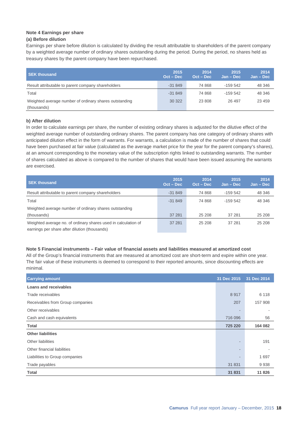## **Note 4 Earnings per share**

## **(a) Before dilution**

Earnings per share before dilution is calculated by dividing the result attributable to shareholders of the parent company by a weighted average number of ordinary shares outstanding during the period. During the period, no shares held as treasury shares by the parent company have been repurchased.

| <b>SEK thousand</b>                                    | 2015<br>$Oct - Dec$ | 2014<br>Oct - Dec | 2015<br>$Jan - Dec$ | 2014<br>$Jan - Dec$ |
|--------------------------------------------------------|---------------------|-------------------|---------------------|---------------------|
| Result attributable to parent company shareholders     | $-31849$            | 74 868            | $-159542$           | 48 346              |
| Total                                                  | $-31849$            | 74 868            | $-159542$           | 48 346              |
| Weighted average number of ordinary shares outstanding | 30 322              | 23 808            | 26 497              | 23 459              |
| (thousands)                                            |                     |                   |                     |                     |

### **b) After dilution**

In order to calculate earnings per share, the number of existing ordinary shares is adjusted for the dilutive effect of the weighted average number of outstanding ordinary shares. The parent company has one category of ordinary shares with anticipated dilution effect in the form of warrants. For warrants, a calculation is made of the number of shares that could have been purchased at fair value (calculated as the average market price for the year for the parent company's shares), at an amount corresponding to the monetary value of the subscription rights linked to outstanding warrants. The number of shares calculated as above is compared to the number of shares that would have been issued assuming the warrants are exercised.

| <b>SEK thousand</b>                                                                                             | 2015<br>$Oct - Dec$ | 2014<br>$Oct - Dec$ | 2015<br>Jan – Dec | 2014<br>$Jan - Dec$ |
|-----------------------------------------------------------------------------------------------------------------|---------------------|---------------------|-------------------|---------------------|
| Result attributable to parent company shareholders                                                              | $-31849$            | 74 868              | $-159.542$        | 48 346              |
| Total                                                                                                           | $-31849$            | 74 868              | $-159.542$        | 48 346              |
| Weighted average number of ordinary shares outstanding                                                          |                     |                     |                   |                     |
| (thousands)                                                                                                     | 37 281              | 25 208              | 37 281            | 25 208              |
| Weighted average no. of ordinary shares used in calculation of<br>earnings per share after dilution (thousands) | 37 281              | 25 208              | 37 281            | 25 208              |

### **Note 5 Financial instruments – Fair value of financial assets and liabilities measured at amortized cost**

All of the Group's financial instruments that are measured at amortized cost are short-term and expire within one year. The fair value of these instruments is deemed to correspond to their reported amounts, since discounting effects are minimal.

| <b>Carrying amount</b>           | 31 Dec 2015              | 31 Dec 2014 |
|----------------------------------|--------------------------|-------------|
| Loans and receivables            |                          |             |
| Trade receivables                | 8917                     | 6 1 1 8     |
| Receivables from Group companies | 207                      | 157 908     |
| Other receivables                | $\qquad \qquad$          |             |
| Cash and cash equivalents        | 716 096                  | 56          |
| <b>Total</b>                     | 725 220                  | 164 082     |
| <b>Other liabilities</b>         |                          |             |
| Other liabilities                | ٠                        | 191         |
| Other financial liabilities      | $\overline{\phantom{a}}$ |             |
| Liabilities to Group companies   | ٠                        | 1697        |
| Trade payables                   | 31 831                   | 9938        |
| <b>Total</b>                     | 31 831                   | 11 826      |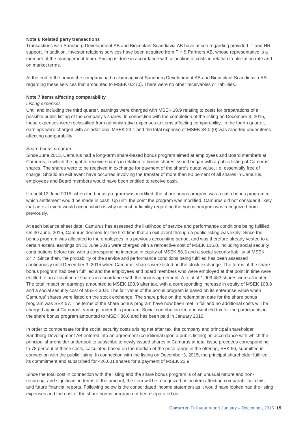#### **Note 6 Related party transactions**

Transactions with Sandberg Development AB and Bioimplant Scandiavia AB have arisen regarding provided IT and HR support. In addition, Investor relations services have been acquired from Piir & Partners AB, whose representative is a member of the management team. Pricing is done in accordance with allocation of costs in relation to utilization rate and on market terms.

At the end of the period the company had a claim against Sandberg Development AB and Bioimplant Scandinavia AB regarding these services that amounted to MSEK 0.2 (0). There were no other receivables or liabilities.

#### **Note 7 Items affecting comparability**

#### *Listing expenses*

Until and including the third quarter, earnings were charged with MSEK 10.9 relating to costs for preparations of a possible public listing of the company's shares. In connection with the completion of the listing on December 3, 2015, these expenses were reclassified from administrative expenses to items affecting comparability. In the fourth quarter, earnings were charged with an additional MSEK 23.1 and the total expense of MSEK 34.0 (0) was reported under items affecting comparability.

#### *Share bonus program*

Since June 2013, Camurus had a long-term share-based bonus program aimed at employees and Board members at Camurus, in which the right to receive shares in relation to bonus shares issued began with a public listing of Camurus' shares. The shares were to be received in exchange for payment of the share's quota value, i.e. essentially free of charge. Should an exit event have occurred involving the transfer of more than 90 percent of all shares in Camurus, employees and Board members would have been entitled to receive cash.

Up until 12 June 2015, when the bonus program was modified, the share bonus program was a cash bonus program in which settlement would be made in cash. Up until the point the program was modified, Camurus did not consider it likely that an exit event would occur, which is why no cost or liability regarding the bonus program was recognized from previously.

At each balance sheet date, Camurus has assessed the likelihood of service and performance conditions being fulfilled. On 30 June, 2015, Camurus deemed for the first time that an exit event through a public listing was likely. Since the bonus program was allocated to the employees in a previous accounting period, and was therefore already vested to a certain extent, earnings on 30 June 2015 were charged with a retroactive cost of MSEK 116.0, including social security contributions before tax, with a corresponding increase in equity of MSEK 88.3 and a social security liability of MSEK 27.7. Since then, the probability of the service and performance conditions being fulfilled has been assessed continuously until December 3, 2015 when Camurus' shares were listed on the stock exchange. The terms of the share bonus program had been fulfilled and the employees and board members who were employed at that point in time were entitled to an allocation of shares in accordance with the bonus agreement. A total of 1,909,483 shares were allocated. The total impact on earnings amounted to MSEK 108.9 after tax, with a corresponding increase in equity of MSEK 108.8 and a social security cost of MSEK 30.8. The fair value of the bonus program is based on its enterprise value when Camurus' shares were listed on the stock exchange. The share price on the redemption date for the share bonus program was SEK 57. The terms of the share bonus program have now been met in full and no additional costs will be charged against Camurus' earnings under this program. Social contribution fee and withheld tax for the participants in the share bonus program amounted to MSEK 86.6 and has been paid in January 2016.

In order to compensate for the social security costs arising net after tax, the company and principal shareholder Sandberg Development AB entered into an agreement (conditional upon a public listing), in accordance with which the principal shareholder undertook to subscribe to newly issued shares in Camurus at total issue proceeds corresponding to 78 percent of these costs, calculated based on the median of the price range in the offering, SEK 56, submitted in connection with the public listing. In connection with the listing on December 3, 2015, the principal shareholder fulfilled its commitment and subscribed for 426,601 shares for a payment of MSEK 23.9.

Since the total cost in connection with the listing and the share bonus program is of an unusual nature and nonrecurring, and significant in terms of the amount, the item will be recognized as an item affecting comparability in this and future financial reports. Following below is the consolidated income statement as it would have looked had the listing expenses and the cost of the share bonus program not been separated out.